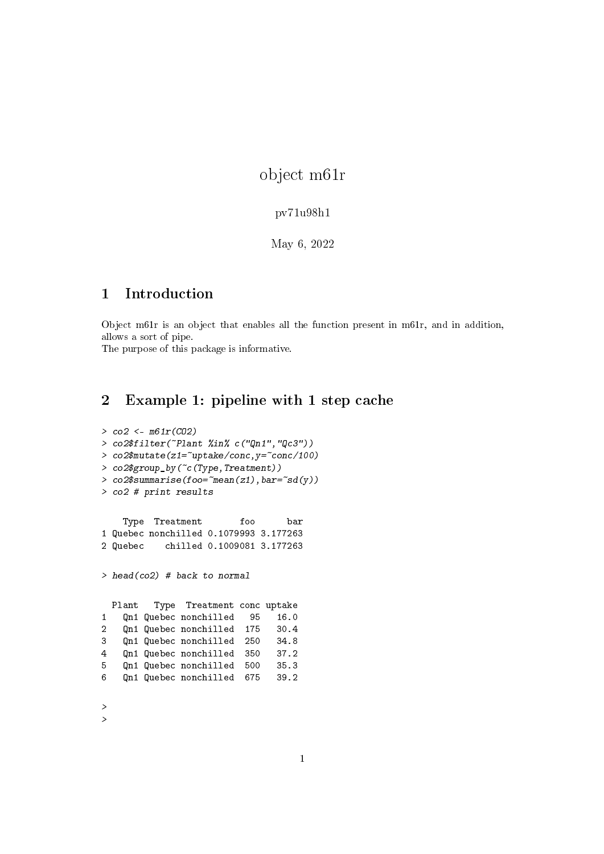object m61r

## pv71u98h1

May 6, 2022

## 1 Introduction

Object m61r is an object that enables all the function present in m61r, and in addition, allows a sort of pipe.

The purpose of this package is informative.

## 2 Example 1: pipeline with 1 step cache

```
> co2 <- m61r(CO2)
> co2$filter(~Plant %in% c("Qn1","Qc3"))
> co2$mutate(z1=\text{``uptake/conc},y=\text{``conc/100})
> co2$group_by(~c(Type,Treatment))
> co2$ summarise(foo=\text{``mean(z1)}, \text{bar} = \text{``sd(y)})> co2 # print results
    Type Treatment foo bar
1 Quebec nonchilled 0.1079993 3.177263
2 Quebec chilled 0.1009081 3.177263
> head(co2) # back to normal
 Plant Type Treatment conc uptake
1 Qn1 Quebec nonchilled 95 16.0
2 Qn1 Quebec nonchilled 175 30.4
3 Qn1 Quebec nonchilled 250 34.8
4 Qn1 Quebec nonchilled 350 37.2
5 Qn1 Quebec nonchilled 500 35.3
6 Qn1 Quebec nonchilled 675 39.2
>
>
```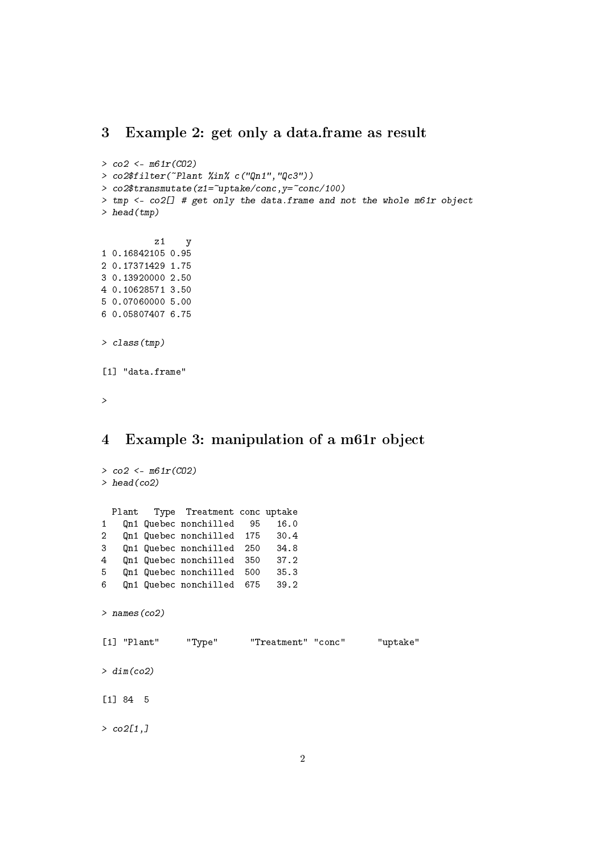## 3 Example 2: get only a data.frame as result

```
> co2 <- m61r(CO2)
> co2$filter(~Plant %in% c("Qn1","Qc3"))
> co2$transmutate(z1=~uptake/conc,y=~conc/100)
> tmp <- co2[] # get only the data.frame and not the whole m61r object
> head(tmp)
         z1 y
1 0.16842105 0.95
2 0.17371429 1.75
3 0.13920000 2.50
4 0.10628571 3.50
5 0.07060000 5.00
6 0.05807407 6.75
> class(tmp)
[1] "data.frame"
>
4 Example 3: manipulation of a m61r object
> co2 <- m61r(CO2)
> head(co2)
 Plant Type Treatment conc uptake
1 Qn1 Quebec nonchilled 95 16.0
2 Qn1 Quebec nonchilled 175 30.4
3 Qn1 Quebec nonchilled 250 34.8
4 Qn1 Quebec nonchilled 350 37.2
5 Qn1 Quebec nonchilled 500 35.3
6 Qn1 Quebec nonchilled 675 39.2
> names(co2)
[1] "Plant" "Type" "Treatment" "conc" "uptake"
> dim(co2)[1] 84 5
```
 $> co2[1,]$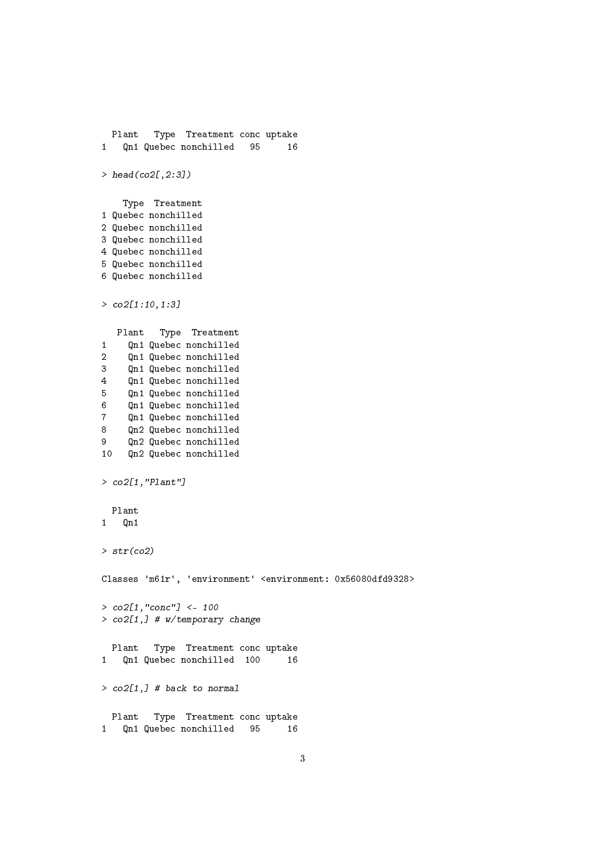```
Plant Type Treatment conc uptake
1 Qn1 Quebec nonchilled 95 16
> head(co2[,2:3])
   Type Treatment
1 Quebec nonchilled
2 Quebec nonchilled
3 Quebec nonchilled
4 Quebec nonchilled
5 Quebec nonchilled
6 Quebec nonchilled
> co2[1:10, 1:3]Plant Type Treatment
1 Qn1 Quebec nonchilled
2 Qn1 Quebec nonchilled
3 Qn1 Quebec nonchilled
4 Qn1 Quebec nonchilled
5 Qn1 Quebec nonchilled
6 Qn1 Quebec nonchilled
7 Qn1 Quebec nonchilled
8 Qn2 Quebec nonchilled
9 Qn2 Quebec nonchilled
10 Qn2 Quebec nonchilled
> co2[1,"Plant"]
 Plant
1 Qn1
> str(co2)Classes 'm61r', 'environment' <environment: 0x56080dfd9328>
> co2[1,"conc"] <- 100
> co2[1,] # w/temporary change
 Plant Type Treatment conc uptake
1 Qn1 Quebec nonchilled 100 16
> co2[1,] # back to normal
 Plant Type Treatment conc uptake
1 Qn1 Quebec nonchilled 95 16
```